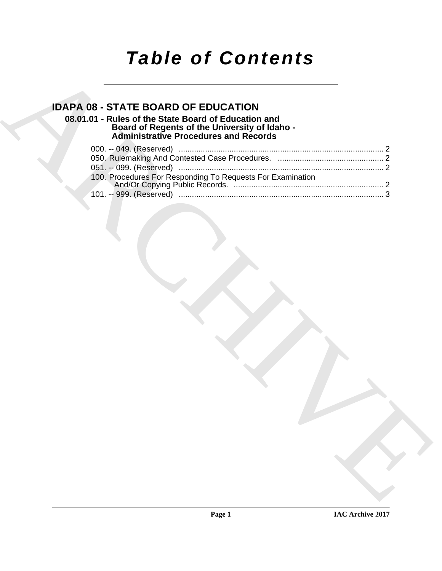# *Table of Contents*

## **IDAPA 08 - STATE BOARD OF EDUCATION**

### **08.01.01 - Rules of the State Board of Education and Board of Regents of the University of Idaho - Administrative Procedures and Records**

| <b>IDAPA 08 - STATE BOARD OF EDUCATION</b><br>08.01.01 - Rules of the State Board of Education and<br>Board of Regents of the University of Idaho -<br>Administrative Procedures and Records |
|----------------------------------------------------------------------------------------------------------------------------------------------------------------------------------------------|
|                                                                                                                                                                                              |
|                                                                                                                                                                                              |
|                                                                                                                                                                                              |
| 100. Procedures For Responding To Requests For Examination                                                                                                                                   |
|                                                                                                                                                                                              |
|                                                                                                                                                                                              |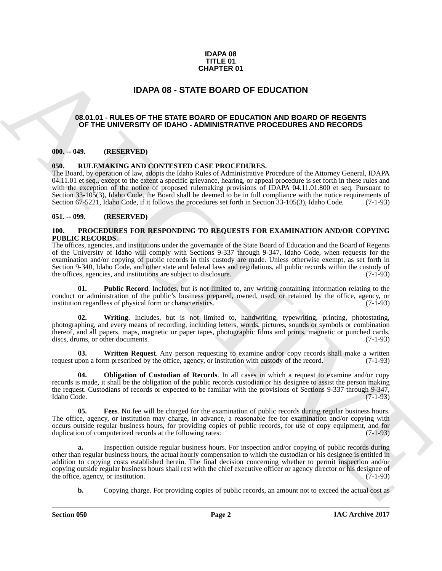#### **IDAPA 08 TITLE 01 CHAPTER 01**

### **IDAPA 08 - STATE BOARD OF EDUCATION**

#### <span id="page-1-1"></span><span id="page-1-0"></span>**08.01.01 - RULES OF THE STATE BOARD OF EDUCATION AND BOARD OF REGENTS OF THE UNIVERSITY OF IDAHO - ADMINISTRATIVE PROCEDURES AND RECORDS**

#### <span id="page-1-2"></span>**000. -- 049. (RESERVED)**

#### <span id="page-1-3"></span>**050. RULEMAKING AND CONTESTED CASE PROCEDURES.**

The Board, by operation of law, adopts the Idaho Rules of Administrative Procedure of the Attorney General, IDAPA 04.11.01 et seq., except to the extent a specific grievance, hearing, or appeal procedure is set forth in these rules and with the exception of the notice of proposed rulemaking provisions of IDAPA 04.11.01.800 et seq. Pursuant to Section 33-105(3), Idaho Code, the Board shall be deemed to be in full compliance with the notice requirements of Section 67-5221, Idaho Code, if it follows the procedures set forth in Section 33-105(3), Idaho Code. (7-1-Section 67-5221, Idaho Code, if it follows the procedures set forth in Section 33-105(3), Idaho Code.

#### <span id="page-1-4"></span>**051. -- 099. (RESERVED)**

#### <span id="page-1-5"></span>**100. PROCEDURES FOR RESPONDING TO REQUESTS FOR EXAMINATION AND/OR COPYING PUBLIC RECORDS.**

**CHAPTER 01**<br> **IDAPA OB - STATE BOARD OF EOUCATION**<br> **CONFIDENTS**<br> **CONFIDENTS**<br> **CONFIDENTS**<br> **CONFIDENTS**<br> **CONFIDENTS**<br> **CONFIDENTS**<br> **CONFIDENTS**<br> **CONFIDENTS**<br> **CONFIDENTS**<br> **CONFIDENTS**<br> **CONFIDENTS**<br> **CONFIDENTS**<br> The offices, agencies, and institutions under the governance of the State Board of Education and the Board of Regents of the University of Idaho will comply with Sections 9-337 through 9-347, Idaho Code, when requests for the examination and/or copying of public records in this custody are made. Unless otherwise exempt, as set forth in Section 9-340, Idaho Code, and other state and federal laws and regulations, all public records within the custody of the offices, agencies, and institutions are subject to disclosure. (7-1-93) the offices, agencies, and institutions are subject to disclosure.

<span id="page-1-8"></span>**Public Record**. Includes, but is not limited to, any writing containing information relating to the conduct or administration of the public's business prepared, owned, used, or retained by the office, agency, or institution regardless of physical form or characteristics. (7-1-93) institution regardless of physical form or characteristics.

<span id="page-1-9"></span>**02. Writing**. Includes, but is not limited to, handwriting, typewriting, printing, photostating, photographing, and every means of recording, including letters, words, pictures, sounds or symbols or combination thereof, and all papers, maps, magnetic or paper tapes, photographic films and prints, magnetic or punched cards, discs, drums, or other documents. (7-1-93)

<span id="page-1-10"></span>**03. Written Request**. Any person requesting to examine and/or copy records shall make a written request upon a form prescribed by the office, agency, or institution with custody of the record. (7-1-93)

<span id="page-1-7"></span>**04. Obligation of Custodian of Records**. In all cases in which a request to examine and/or copy records is made, it shall be the obligation of the public records custodian or his designee to assist the person making the request. Custodians of records or expected to be familiar with the provisions of Sections 9-337 through 9-347, Idaho Code. (7-1-93) Idaho Code. (7-1-93)

<span id="page-1-6"></span>**05. Fees**. No fee will be charged for the examination of public records during regular business hours. The office, agency, or institution may charge, in advance, a reasonable fee for examination and/or copying with occurs outside regular business hours, for providing copies of public records, for use of copy equipment, and for duplication of computerized records at the following rates: (7-1-93) duplication of computerized records at the following rates:

**a.** Inspection outside regular business hours. For inspection and/or copying of public records during other than regular business hours, the actual hourly compensation to which the custodian or his designee is entitled in addition to copying costs established herein. The final decision concerning whether to permit inspection and/or copying outside regular business hours shall rest with the chief executive officer or agency director or his designee of the office, agency, or institution. (7-1-93) the office, agency, or institution.

**b.** Copying charge. For providing copies of public records, an amount not to exceed the actual cost as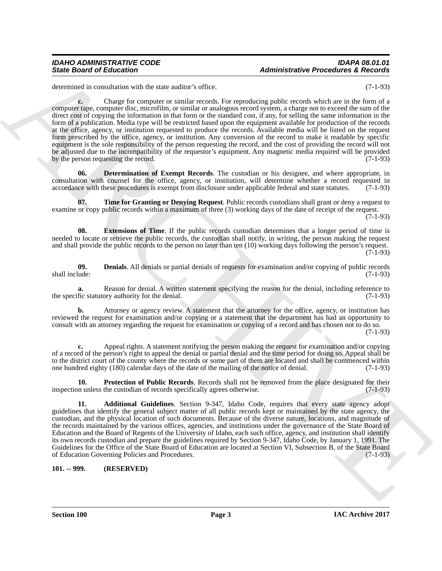determined in consultation with the state auditor's office. (7-1-93)

Since Good of Eloisonics and the same state of the same state of the same state of the same state of the same state of the same state of the same state of the same state of the same state of the same state of the same sta **c.** Charge for computer or similar records. For reproducing public records which are in the form of a computer tape, computer disc, microfilm, or similar or analogous record system, a charge not to exceed the sum of the direct cost of copying the information in that form or the standard cost, if any, for selling the same information in the form of a publication. Media type will be restricted based upon the equipment available for production of the records at the office, agency, or institution requested to produce the records. Available media will be listed on the request form prescribed by the office, agency, or institution. Any conversion of the record to make it readable by specific equipment is the sole responsibility of the person requesting the record, and the cost of providing the record will not be adjusted due to the incompatibility of the requestor's equipment. Any magnetic media required will be provided by the person requesting the record. (7-1-93)

<span id="page-2-3"></span>**06. Determination of Exempt Records**. The custodian or his designee, and where appropriate, in consultation with counsel for the office, agency, or institution, will determine whether a record requested in accordance with these procedures is exempt from disclosure under applicable federal and state statutes. (7-1-93)

<span id="page-2-6"></span>**07. Time for Granting or Denying Request**. Public records custodians shall grant or deny a request to examine or copy public records within a maximum of three (3) working days of the date of receipt of the request.

 $(7-1-93)$ 

<span id="page-2-4"></span>**08. Extensions of Time**. If the public records custodian determines that a longer period of time is needed to locate or retrieve the public records, the custodian shall notify, in writing, the person making the request and shall provide the public records to the person no later than ten (10) working days following the person's request.  $(7-1-93)$ 

<span id="page-2-2"></span>**09. Denials**. All denials or partial denials of requests for examination and/or copying of public records shall include: (7-1-93) shall include: (7-1-93)

**a.** Reason for denial. A written statement specifying the reason for the denial, including reference to fic statutory authority for the denial. (7-1-93) the specific statutory authority for the denial.

**b.** Attorney or agency review. A statement that the attorney for the office, agency, or institution has reviewed the request for examination and/or copying or a statement that the department has had an opportunity to consult with an attorney regarding the request for examination or copying of a record and has chosen not to do so. (7-1-93)

**c.** Appeal rights. A statement notifying the person making the request for examination and/or copying of a record of the person's right to appeal the denial or partial denial and the time period for doing so. Appeal shall be to the district court of the county where the records or some part of them are located and shall be commenced within one hundred eighty (180) calendar days of the date of the mailing of the notice of denial. (7-1-93) one hundred eighty (180) calendar days of the date of the mailing of the notice of denial.

<span id="page-2-5"></span>**10. Protection of Public Records**. Records shall not be removed from the place designated for their inspection unless the custodian of records specifically agrees otherwise. (7-1-93)

<span id="page-2-1"></span>**11. Additional Guidelines**. Section 9-347, Idaho Code, requires that every state agency adopt guidelines that identify the general subject matter of all public records kept or maintained by the state agency, the custodian, and the physical location of such documents. Because of the diverse nature, locations, and magnitude of the records maintained by the various offices, agencies, and institutions under the governance of the State Board of Education and the Board of Regents of the University of Idaho, each such office, agency, and institution shall identify its own records custodian and prepare the guidelines required by Section 9-347, Idaho Code, by January 1, 1991. The Guidelines for the Office of the State Board of Education are located at Section VI, Subsection B, of the State Board of Education Governing Policies and Procedures. (7-1-93)

#### <span id="page-2-0"></span>**101. -- 999. (RESERVED)**